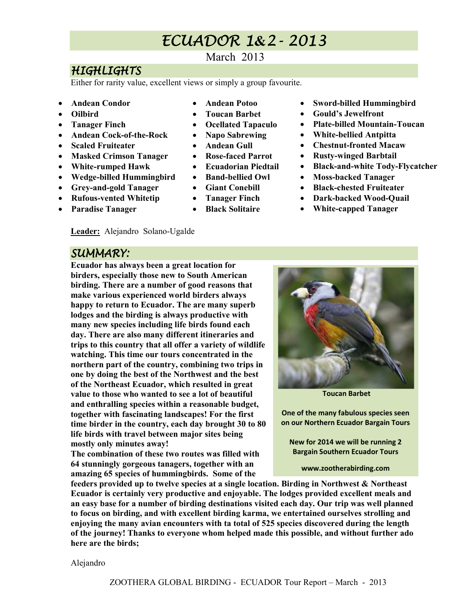## ECUADOR ECUADOR1**&**2-2013

### March 2013

## **HIGHLIGHTS**

Either for rarity value, excellent views or simply a group favourite.

- **Andean Condor**
- **Oilbird**
- **Tanager Finch**
- **Andean Cock-of-the-Rock**
- **Scaled Fruiteater**
- **Masked Crimson Tanager**
- **White-rumped Hawk**
- **Wedge-billed Hummingbird**
- **Grey-and-gold Tanager**
- **Rufous-vented Whitetip**
- **Paradise Tanager**
- **Andean Potoo**
- **Toucan Barbet**
- **Ocellated Tapaculo**
- **Napo Sabrewing**
- **Andean Gull**
- **Rose-faced Parrot**
- **Ecuadorian Piedtail**
- **Band-bellied Owl**
- **Giant Conebill**
- **Tanager Finch**
- **Black Solitaire**
- **Sword-billed Hummingbird**
- **Gould's Jewelfront**
- **Plate-billed Mountain-Toucan**
- **White-bellied Antpitta**
- **Chestnut-fronted Macaw**
- **Rusty-winged Barbtail**
- **Black-and-white Tody-Flycatcher**
- **Moss-backed Tanager**
- **Black-chested Fruiteater**
- **Dark-backed Wood-Quail**
- **White-capped Tanager**

## **Leader:** Alejandro Solano-Ugalde

### SUMMARY:

**Ecuador has always been a great location for birders, especially those new to South American birding. There are a number of good reasons that make various experienced world birders always happy to return to Ecuador. The are many superb lodges and the birding is always productive with many new species including life birds found each day. There are also many different itineraries and trips to this country that all offer a variety of wildlife watching. This time our tours concentrated in the northern part of the country, combining two trips in one by doing the best of the Northwest and the best of the Northeast Ecuador, which resulted in great value to those who wanted to see a lot of beautiful and enthralling species within a reasonable budget, together with fascinating landscapes! For the first time birder in the country, each day brought 30 to 80 life birds with travel between major sites being mostly only minutes away!** 

**The combination of these two routes was filled with 64 stunningly gorgeous tanagers, together with an amazing 65 species of hummingbirds. Some of the** 



Alejandro

 **Toucan Barbet** 

**One of the many fabulous species seen on our Northern Ecuador Bargain Tours** 

**New for 2014 we will be running 2 Bargain Southern Ecuador Tours** 

**www.zootherabirding.com**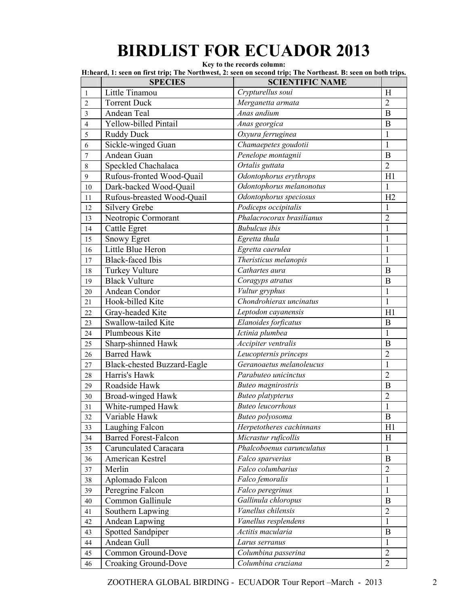# **BIRDLIST FOR ECUADOR 2013**

**Key to the records column:** 

|                  | <b>SPECIES</b>              | H:heard, 1: seen on first trip; The Northwest, 2: seen on second trip; The Northeast. B: seen on both trips.<br><b>SCIENTIFIC NAME</b> |                |
|------------------|-----------------------------|----------------------------------------------------------------------------------------------------------------------------------------|----------------|
| $\mathbf{1}$     | Little Tinamou              | Crypturellus soui                                                                                                                      | H              |
| $\overline{c}$   | <b>Torrent Duck</b>         | Merganetta armata                                                                                                                      | $\overline{2}$ |
| $\overline{3}$   | Andean Teal                 | Anas andium                                                                                                                            | B              |
| $\overline{4}$   | Yellow-billed Pintail       | Anas georgica                                                                                                                          | $\bf{B}$       |
| 5                | <b>Ruddy Duck</b>           | Oxyura ferruginea                                                                                                                      | $\mathbf{1}$   |
| 6                | Sickle-winged Guan          | Chamaepetes goudotii                                                                                                                   | 1              |
| $\boldsymbol{7}$ | Andean Guan                 | Penelope montagnii                                                                                                                     | B              |
| $8\,$            | Speckled Chachalaca         | Ortalis guttata                                                                                                                        | $\overline{2}$ |
| 9                | Rufous-fronted Wood-Quail   | Odontophorus erythrops                                                                                                                 | H1             |
| 10               | Dark-backed Wood-Quail      | Odontophorus melanonotus                                                                                                               | 1              |
| 11               | Rufous-breasted Wood-Quail  | Odontophorus speciosus                                                                                                                 | H2             |
| 12               | Silvery Grebe               | Podiceps occipitalis                                                                                                                   | $\mathbf{1}$   |
| 13               | Neotropic Cormorant         | Phalacrocorax brasilianus                                                                                                              | $\overline{2}$ |
| 14               | Cattle Egret                | <b>Bubulcus</b> ibis                                                                                                                   | $\mathbf{1}$   |
| 15               | <b>Snowy Egret</b>          | Egretta thula                                                                                                                          | $\mathbf{1}$   |
| 16               | Little Blue Heron           | $\overline{E}$ gretta caerulea                                                                                                         | $\mathbf{1}$   |
| 17               | <b>Black-faced Ibis</b>     | Theristicus melanopis                                                                                                                  | 1              |
| 18               | <b>Turkey Vulture</b>       | Cathartes aura                                                                                                                         | $\bf{B}$       |
| 19               | <b>Black Vulture</b>        | Coragyps atratus                                                                                                                       | B              |
| 20               | Andean Condor               | Vultur gryphus                                                                                                                         | $\mathbf{1}$   |
| 21               | Hook-billed Kite            | Chondrohierax uncinatus                                                                                                                | $\mathbf{1}$   |
| 22               | Gray-headed Kite            | Leptodon cayanensis                                                                                                                    | H1             |
| 23               | Swallow-tailed Kite         | Elanoides forficatus                                                                                                                   | B              |
| 24               | Plumbeous Kite              | Ictinia plumbea                                                                                                                        | 1              |
| 25               | Sharp-shinned Hawk          | Accipiter ventralis                                                                                                                    | $\bf{B}$       |
| 26               | <b>Barred Hawk</b>          | Leucopternis princeps                                                                                                                  | $\overline{2}$ |
| 27               | Black-chested Buzzard-Eagle | Geranoaetus melanoleucus                                                                                                               | 1              |
| 28               | Harris's Hawk               | Parabuteo unicinctus                                                                                                                   | $\overline{2}$ |
| 29               | Roadside Hawk               | <b>Buteo</b> magnirostris                                                                                                              | $\bf{B}$       |
| 30               | Broad-winged Hawk           | <b>Buteo platypterus</b>                                                                                                               | $\overline{2}$ |
| 31               | White-rumped Hawk           | <b>Buteo leucorrhous</b>                                                                                                               | 1              |
| 32               | Variable Hawk               | Buteo polyosoma                                                                                                                        | $\bf{B}$       |
| 33               | Laughing Falcon             | Herpetotheres cachinnans                                                                                                               | H1             |
| 34               | <b>Barred Forest-Falcon</b> | Micrastur ruficollis                                                                                                                   | H              |
| 35               | Carunculated Caracara       | Phalcoboenus carunculatus                                                                                                              | $\mathbf{1}$   |
| 36               | American Kestrel            | Falco sparverius                                                                                                                       | $\bf{B}$       |
| 37               | Merlin                      | Falco columbarius                                                                                                                      | $\overline{2}$ |
| 38               | Aplomado Falcon             | Falco femoralis                                                                                                                        | $\mathbf{1}$   |
| 39               | Peregrine Falcon            | Falco peregrinus                                                                                                                       | $\mathbf{1}$   |
| 40               | Common Gallinule            | Gallinula chloropus                                                                                                                    | $\mathbf{B}$   |
| 41               | Southern Lapwing            | Vanellus chilensis                                                                                                                     | $\overline{2}$ |
| 42               | Andean Lapwing              | Vanellus resplendens                                                                                                                   | $\mathbf{1}$   |
| 43               | Spotted Sandpiper           | Actitis macularia                                                                                                                      | $\, {\bf B}$   |
| 44               | Andean Gull                 | Larus serranus                                                                                                                         | 1              |
| 45               | Common Ground-Dove          | Columbina passerina                                                                                                                    | $\overline{2}$ |
| 46               | Croaking Ground-Dove        | Columbina cruziana                                                                                                                     | $\overline{2}$ |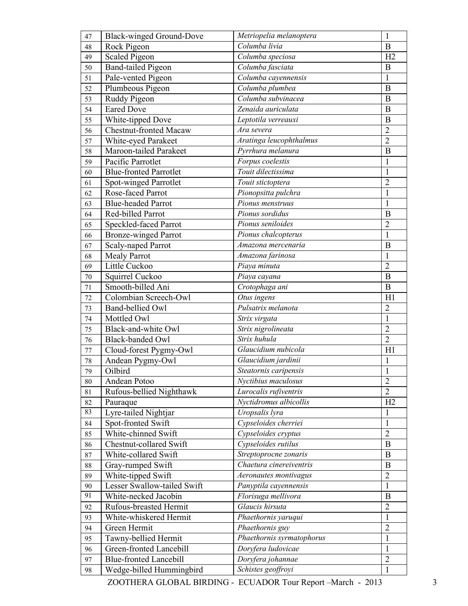| 47       | <b>Black-winged Ground-Dove</b>                   | Metriopelia melanoptera                          | $\mathbf{1}$            |
|----------|---------------------------------------------------|--------------------------------------------------|-------------------------|
| 48       | Rock Pigeon                                       | Columba livia                                    | B                       |
| 49       | Scaled Pigeon                                     | Columba speciosa                                 | H2                      |
| 50       | <b>Band-tailed Pigeon</b>                         | Columba fasciata                                 | $\boldsymbol{B}$        |
| 51       | Pale-vented Pigeon                                | Columba cayennensis                              | $\mathbf{1}$            |
| 52       | Plumbeous Pigeon                                  | Columba plumbea                                  | $\bf{B}$                |
| 53       | Ruddy Pigeon                                      | Columba subvinacea                               | B                       |
| 54       | <b>Eared Dove</b>                                 | Zenaida auriculata                               | B                       |
| 55       | White-tipped Dove                                 | Leptotila verreauxi                              | B                       |
| 56       | <b>Chestnut-fronted Macaw</b>                     | Ara severa                                       | $\overline{2}$          |
| 57       | White-eyed Parakeet                               | Aratinga leucophthalmus                          | $\overline{2}$          |
| 58       | Maroon-tailed Parakeet                            | Pyrrhura melanura                                | $\boldsymbol{B}$        |
| 59       | Pacific Parrotlet                                 | Forpus coelestis                                 | $\mathbf{1}$            |
| 60       | <b>Blue-fronted Parrotlet</b>                     | Touit dilectissima                               | $\mathbf{1}$            |
| 61       | Spot-winged Parrotlet                             | Touit stictoptera                                | $\overline{c}$          |
| 62       | Rose-faced Parrot                                 | Pionopsitta pulchra                              | $\mathbf{1}$            |
| 63       | <b>Blue-headed Parrot</b>                         | Pionus menstruus                                 | $\mathbf{1}$            |
| 64       | Red-billed Parrot                                 | Pionus sordidus                                  | B                       |
| 65       | Speckled-faced Parrot                             | Pionus seniloides                                | $\overline{2}$          |
| 66       | <b>Bronze-winged Parrot</b>                       | Pionus chalcopterus                              | $\mathbf{1}$            |
| 67       | Scaly-naped Parrot                                | Amazona mercenaria                               | B                       |
| 68       | <b>Mealy Parrot</b>                               | Amazona farinosa                                 | $\mathbf{1}$            |
| 69       | Little Cuckoo                                     | Piaya minuta                                     | $\overline{2}$          |
| 70       | Squirrel Cuckoo                                   | Piaya cayana                                     | $\bf{B}$                |
| 71       | Smooth-billed Ani                                 | Crotophaga ani                                   | B                       |
| 72       | Colombian Screech-Owl                             | Otus ingens                                      | H1                      |
| 73       | Band-bellied Owl                                  | Pulsatrix melanota                               | $\overline{2}$          |
| 74       | Mottled Owl                                       | Strix virgata                                    | $\mathbf{1}$            |
| 75       | Black-and-white Owl                               | Strix nigrolineata                               | $\overline{2}$          |
| 76       | <b>Black-banded Owl</b>                           | Strix huhula                                     | $\overline{2}$          |
| 77       | Cloud-forest Pygmy-Owl                            | Glaucidium nubicola                              | H1                      |
| 78       | Andean Pygmy-Owl                                  | Glaucidium jardinii                              | $\mathbf{1}$            |
| 79       | Oilbird                                           | Steatornis caripensis                            | $\mathbf{1}$            |
| $80\,$   | Andean Potoo                                      | Nyctibius maculosus                              | $\overline{2}$          |
| 81       | Rufous-bellied Nighthawk                          | Lurocalis rufiventris                            | $\overline{2}$          |
| 82       | Pauraque                                          | Nyctidromus albicollis                           | H2                      |
| 83       | Lyre-tailed Nightjar                              | Uropsalis lyra                                   | 1                       |
| 84       | Spot-fronted Swift                                | Cypseloides cherriei                             | $\mathbf{1}$            |
| 85       | White-chinned Swift                               | Cypseloides cryptus                              | $\overline{2}$          |
| 86       | Chestnut-collared Swift                           | Cypseloides rutilus                              | $\bf{B}$                |
| 87       | White-collared Swift                              | Streptoprocne zonaris<br>Chaetura cinereiventris | $\bf{B}$<br>$\mathbf B$ |
| 88       | Gray-rumped Swift                                 |                                                  | $\overline{2}$          |
| 89       | White-tipped Swift<br>Lesser Swallow-tailed Swift | Aeronautes montivagus                            | $\mathbf{1}$            |
| 90<br>91 | White-necked Jacobin                              | Panyptila cayennensis<br>Florisuga mellivora     | B                       |
|          | Rufous-breasted Hermit                            | Glaucis hirsuta                                  | $\overline{2}$          |
| 92<br>93 | White-whiskered Hermit                            | Phaethornis yaruqui                              | $\mathbf{1}$            |
|          | Green Hermit                                      | Phaethornis guy                                  | $\overline{2}$          |
| 94<br>95 | Tawny-bellied Hermit                              | Phaethornis syrmatophorus                        | $\mathbf{1}$            |
| 96       | Green-fronted Lancebill                           | Doryfera ludovicae                               | $\mathbf{1}$            |
| 97       | <b>Blue-fronted Lancebill</b>                     | Doryfera johannae                                | $\overline{2}$          |
| 98       | Wedge-billed Hummingbird                          | Schistes geoffroyi                               | $\mathbf{1}$            |
|          |                                                   |                                                  |                         |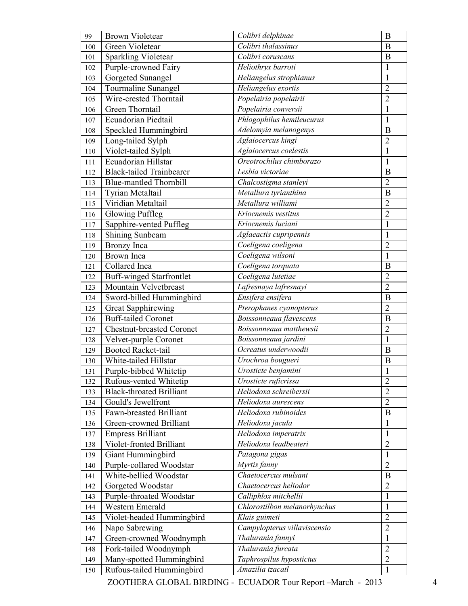| 99  | <b>Brown Violetear</b>          | Colibri delphinae            | $\bf{B}$       |
|-----|---------------------------------|------------------------------|----------------|
| 100 | Green Violetear                 | Colibri thalassinus          | B              |
| 101 | Sparkling Violetear             | Colibri coruscans            | B              |
| 102 | Purple-crowned Fairy            | Heliothryx barroti           | $\mathbf{1}$   |
| 103 | Gorgeted Sunangel               | Heliangelus strophianus      | $\mathbf{1}$   |
| 104 | Tourmaline Sunangel             | Heliangelus exortis          | $\overline{2}$ |
| 105 | Wire-crested Thorntail          | Popelairia popelairii        | $\overline{2}$ |
| 106 | Green Thorntail                 | Popelairia conversii         | $\mathbf{1}$   |
| 107 | Ecuadorian Piedtail             | Phlogophilus hemileucurus    | $\mathbf{1}$   |
| 108 | Speckled Hummingbird            | Adelomyia melanogenys        | B              |
| 109 | Long-tailed Sylph               | Aglaiocercus kingi           | $\overline{2}$ |
| 110 | Violet-tailed Sylph             | Aglaiocercus coelestis       | $\mathbf{1}$   |
| 111 | Ecuadorian Hillstar             | Oreotrochilus chimborazo     | $\mathbf{1}$   |
| 112 | <b>Black-tailed Trainbearer</b> | Lesbia victoriae             | B              |
| 113 | <b>Blue-mantled Thornbill</b>   | Chalcostigma stanleyi        | $\overline{2}$ |
| 114 | Tyrian Metaltail                | Metallura tyrianthina        | B              |
| 115 | Viridian Metaltail              | Metallura williami           | $\overline{2}$ |
| 116 | <b>Glowing Puffleg</b>          | Eriocnemis vestitus          | $\overline{2}$ |
| 117 | Sapphire-vented Puffleg         | Eriocnemis luciani           | $\mathbf{1}$   |
| 118 | Shining Sunbeam                 | Aglaeactis cupripennis       | $\mathbf{1}$   |
| 119 | Bronzy Inca                     | Coeligena coeligena          | $\overline{2}$ |
| 120 | <b>Brown</b> Inca               | Coeligena wilsoni            | $\mathbf{1}$   |
| 121 | Collared Inca                   | Coeligena torquata           | B              |
| 122 | <b>Buff-winged Starfrontlet</b> | Coeligena lutetiae           | $\overline{2}$ |
| 123 | Mountain Velvetbreast           | Lafresnaya lafresnayi        | $\overline{2}$ |
| 124 | Sword-billed Hummingbird        | Ensifera ensifera            | $\bf{B}$       |
| 125 | <b>Great Sapphirewing</b>       | Pterophanes cyanopterus      | $\overline{2}$ |
| 126 | Buff-tailed Coronet             | Boissonneaua flavescens      | B              |
| 127 | Chestnut-breasted Coronet       | Boissonneaua matthewsii      | $\overline{2}$ |
| 128 | Velvet-purple Coronet           | Boissonneaua jardini         | $\mathbf{1}$   |
| 129 | <b>Booted Racket-tail</b>       | Ocreatus underwoodii         | $\bf{B}$       |
| 130 | White-tailed Hillstar           | Urochroa bougueri            | B              |
| 131 | Purple-bibbed Whitetip          | Urosticte benjamini          | 1              |
| 132 | Rufous-vented Whitetip          | Urosticte ruficrissa         | $\overline{2}$ |
| 133 | <b>Black-throated Brilliant</b> | Heliodoxa schreibersii       | $\overline{2}$ |
| 134 | Gould's Jewelfront              | Heliodoxa aurescens          | $\overline{2}$ |
| 135 | Fawn-breasted Brilliant         | Heliodoxa rubinoides         | B              |
| 136 | Green-crowned Brilliant         | Heliodoxa jacula             | $\mathbf{1}$   |
| 137 | <b>Empress Brilliant</b>        | Heliodoxa imperatrix         | $\mathbf{1}$   |
| 138 | Violet-fronted Brilliant        | Heliodoxa leadbeateri        | $\overline{c}$ |
| 139 | Giant Hummingbird               | Patagona gigas               | $\mathbf{1}$   |
| 140 | Purple-collared Woodstar        | Myrtis fanny                 | $\overline{2}$ |
| 141 | White-bellied Woodstar          | Chaetocercus mulsant         | B              |
| 142 | Gorgeted Woodstar               | Chaetocercus heliodor        | $\overline{2}$ |
| 143 | Purple-throated Woodstar        | Calliphlox mitchellii        | $\mathbf{1}$   |
| 144 | Western Emerald                 | Chlorostilbon melanorhynchus | $\mathbf{1}$   |
| 145 | Violet-headed Hummingbird       | Klais guimeti                | $\overline{c}$ |
| 146 | Napo Sabrewing                  | Campylopterus villaviscensio | $\overline{2}$ |
| 147 | Green-crowned Woodnymph         | Thalurania fannyi            | $\mathbf{1}$   |
| 148 | Fork-tailed Woodnymph           | Thalurania furcata           | $\overline{2}$ |
| 149 | Many-spotted Hummingbird        | Taphrospilus hypostictus     | $\overline{2}$ |
| 150 | Rufous-tailed Hummingbird       | Amazilia tzacatl             | $\mathbf{1}$   |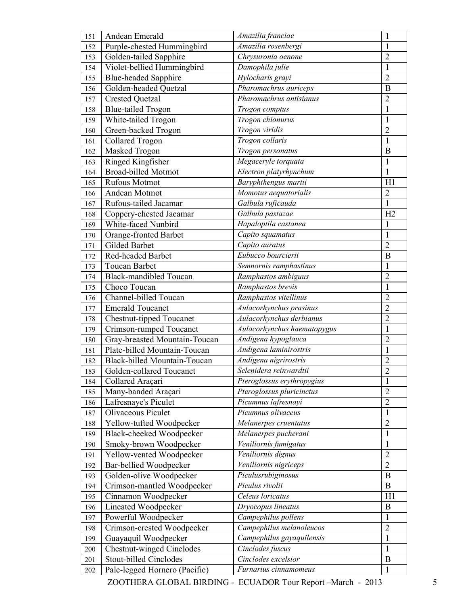| 151        | Andean Emerald                                           | Amazilia franciae                 | 1                              |
|------------|----------------------------------------------------------|-----------------------------------|--------------------------------|
| 152        | Purple-chested Hummingbird                               | Amazilia rosenbergi               | 1                              |
| 153        | Golden-tailed Sapphire                                   | Chrysuronia oenone                | $\overline{2}$                 |
| 154        | Violet-bellied Hummingbird                               | Damophila julie                   | $\mathbf{1}$                   |
| 155        | <b>Blue-headed Sapphire</b>                              | Hylocharis grayi                  | $\overline{2}$                 |
| 156        | Golden-headed Quetzal                                    | Pharomachrus auriceps             | B                              |
| 157        | <b>Crested Quetzal</b>                                   | Pharomachrus antisianus           | $\overline{2}$                 |
| 158        | <b>Blue-tailed Trogon</b>                                | Trogon comptus                    | $\mathbf{1}$                   |
| 159        | White-tailed Trogon                                      | Trogon chionurus                  | 1                              |
| 160        | Green-backed Trogon                                      | Trogon viridis                    | $\overline{2}$                 |
| 161        | <b>Collared Trogon</b>                                   | Trogon collaris                   | $\mathbf{1}$                   |
| 162        | Masked Trogon                                            | Trogon personatus                 | B                              |
| 163        | Ringed Kingfisher                                        | Megaceryle torquata               | $\mathbf{1}$                   |
| 164        | <b>Broad-billed</b> Motmot                               | Electron platyrhynchum            | $\mathbf{1}$                   |
| 165        | <b>Rufous Motmot</b>                                     | Baryphthengus martii              | H1                             |
| 166        | Andean Motmot                                            | Momotus aequatorialis             | $\overline{2}$                 |
| 167        | Rufous-tailed Jacamar                                    | Galbula ruficauda                 | $\mathbf{1}$                   |
| 168        | Coppery-chested Jacamar                                  | Galbula pastazae                  | H2                             |
| 169        | White-faced Nunbird                                      | Hapaloptila castanea              | 1                              |
| 170        | Orange-fronted Barbet                                    | Capito squamatus                  | $\mathbf{1}$                   |
| 171        | Gilded Barbet                                            | Capito auratus                    | $\overline{2}$                 |
| 172        | Red-headed Barbet                                        | Eubucco bourcierii                | B                              |
| 173        | Toucan Barbet                                            | Semnornis ramphastinus            | 1                              |
| 174        | <b>Black-mandibled Toucan</b>                            | Ramphastos ambiguus               | $\overline{2}$                 |
| 175        | Choco Toucan                                             | Ramphastos brevis                 | $\mathbf{1}$                   |
| 176        | Channel-billed Toucan                                    | Ramphastos vitellinus             | $\overline{2}$                 |
| 177        | <b>Emerald Toucanet</b>                                  | Aulacorhynchus prasinus           | $\overline{2}$                 |
| 178        | Chestnut-tipped Toucanet                                 | Aulacorhynchus derbianus          | $\overline{2}$                 |
| 179        | Crimson-rumped Toucanet                                  | Aulacorhynchus haematopygus       | $\mathbf{1}$                   |
| 180        | Gray-breasted Mountain-Toucan                            | Andigena hypoglauca               | $\overline{2}$                 |
| 181        | Plate-billed Mountain-Toucan                             | Andigena laminirostris            | $\mathbf{1}$                   |
| 182        | Black-billed Mountain-Toucan                             | Andigena nigrirostris             | $\overline{2}$                 |
| 183        | Golden-collared Toucanet                                 | Selenidera reinwardtii            | $\overline{c}$                 |
| 184        | Collared Araçari                                         | Pteroglossus erythropygius        | $\mathbf{1}$                   |
| 185        | Many-banded Araçari                                      | Pteroglossus pluricinctus         | $\overline{2}$                 |
| 186        | Lafresnaye's Piculet                                     | Picumnus lafresnayi               | $\overline{2}$                 |
| 187        | Olivaceous Piculet                                       | Picumnus olivaceus                | $\mathbf{1}$                   |
| 188        | Yellow-tufted Woodpecker                                 | Melanerpes cruentatus             | $\overline{2}$                 |
| 189        | Black-cheeked Woodpecker                                 | Melanerpes pucherani              | $\mathbf{1}$                   |
|            | Smoky-brown Woodpecker                                   | Veniliornis fumigatus             | $\mathbf{1}$                   |
| 190<br>191 | Yellow-vented Woodpecker                                 | Veniliornis dignus                | $\overline{2}$                 |
|            | Bar-bellied Woodpecker                                   | Veniliornis nigriceps             | $\overline{2}$                 |
| 192        | Golden-olive Woodpecker                                  | Piculusrubiginosus                | B                              |
| 193<br>194 | Crimson-mantled Woodpecker                               | Piculus rivolii                   | $\bf{B}$                       |
|            | Cinnamon Woodpecker                                      | Celeus loricatus                  | H1                             |
| 195        | Lineated Woodpecker                                      | Dryocopus lineatus                | B                              |
| 196        |                                                          | Campephilus pollens               |                                |
| 197        | Powerful Woodpecker                                      | Campephilus melanoleucos          | $\mathbf{1}$<br>$\overline{2}$ |
| 198        | Crimson-crested Woodpecker                               | Campephilus gayaquilensis         | $\mathbf{1}$                   |
| 199        | Guayaquil Woodpecker<br><b>Chestnut-winged Cinclodes</b> | Cinclodes fuscus                  | $\mathbf{1}$                   |
| 200        | Stout-billed Cinclodes                                   | $\overline{C}$ inclodes excelsior | B                              |
| 201        | Pale-legged Hornero (Pacific)                            | Furnarius cinnamomeus             | $\mathbf{1}$                   |
| 202        |                                                          |                                   |                                |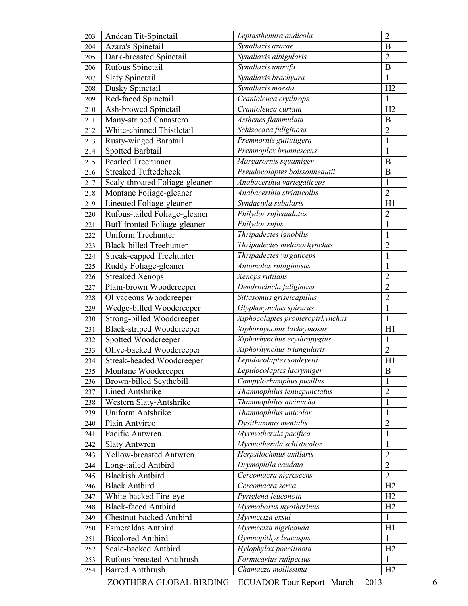| 203 | Andean Tit-Spinetail             | Leptasthenura andicola          | $\overline{2}$   |
|-----|----------------------------------|---------------------------------|------------------|
| 204 | Azara's Spinetail                | Synallaxis azarae               | B                |
| 205 | Dark-breasted Spinetail          | Synallaxis albigularis          | $\overline{2}$   |
| 206 | Rufous Spinetail                 | Synallaxis unirufa              | $\boldsymbol{B}$ |
| 207 | <b>Slaty Spinetail</b>           | Synallaxis brachyura            | $\mathbf{1}$     |
| 208 | Dusky Spinetail                  | Synallaxis moesta               | H2               |
| 209 | Red-faced Spinetail              | Cranioleuca erythrops           | $\mathbf{1}$     |
| 210 | Ash-browed Spinetail             | Cranioleuca curtata             | H2               |
| 211 | Many-striped Canastero           | Asthenes flammulata             | $\boldsymbol{B}$ |
| 212 | White-chinned Thistletail        | Schizoeaca fuliginosa           | $\overline{2}$   |
| 213 | <b>Rusty-winged Barbtail</b>     | Premnornis guttuligera          | $\mathbbm{1}$    |
| 214 | Spotted Barbtail                 | Premnoplex brunnescens          | $\mathbf{1}$     |
| 215 | Pearled Treerunner               | Margarornis squamiger           | B                |
| 216 | Streaked Tuftedcheek             | Pseudocolaptes boissonneautii   | B                |
| 217 | Scaly-throated Foliage-gleaner   | Anabacerthia variegaticeps      | $\mathbf{1}$     |
| 218 | Montane Foliage-gleaner          | Anabacerthia striaticollis      | $\overline{2}$   |
| 219 | Lineated Foliage-gleaner         | Syndactyla subalaris            | H1               |
| 220 | Rufous-tailed Foliage-gleaner    | Philydor ruficaudatus           | $\overline{2}$   |
| 221 | Buff-fronted Foliage-gleaner     | Philydor rufus                  | $\mathbf{1}$     |
| 222 | Uniform Treehunter               | Thripadectes ignobilis          | $\mathbf{1}$     |
| 223 | <b>Black-billed Treehunter</b>   | Thripadectes melanorhynchus     | $\overline{c}$   |
| 224 | <b>Streak-capped Treehunter</b>  | Thripadectes virgaticeps        | $\mathbf{1}$     |
| 225 | Ruddy Foliage-gleaner            | Automolus rubiginosus           | $\mathbf{1}$     |
| 226 | <b>Streaked Xenops</b>           | Xenops rutilans                 | $\overline{2}$   |
| 227 | Plain-brown Woodcreeper          | Dendrocincla fuliginosa         | $\overline{c}$   |
| 228 | Olivaceous Woodcreeper           | Sittasomus griseicapillus       | $\overline{2}$   |
| 229 | Wedge-billed Woodcreeper         | Glyphorynchus spirurus          | $\overline{1}$   |
| 230 | Strong-billed Woodcreeper        | Xiphocolaptes promeropirhynchus | $\mathbf{1}$     |
| 231 | <b>Black-striped Woodcreeper</b> | Xiphorhynchus lachrymosus       | H1               |
| 232 | Spotted Woodcreeper              | Xiphorhynchus erythropygius     | $\mathbf{1}$     |
| 233 | Olive-backed Woodcreeper         | Xiphorhynchus triangularis      | $\overline{2}$   |
| 234 | Streak-headed Woodcreeper        | Lepidocolaptes souleyetii       | H1               |
| 235 | Montane Woodcreeper              | Lepidocolaptes lacrymiger       | $\, {\bf B}$     |
| 236 | Brown-billed Scythebill          | Campylorhamphus pusillus        | 1                |
| 237 | <b>Lined Antshrike</b>           | Thamnophilus tenuepunctatus     | $\overline{2}$   |
| 238 | Western Slaty-Antshrike          | Thamnophilus atrinucha          | $\mathbf{1}$     |
| 239 | Uniform Antshrike                | Thamnophilus unicolor           | $\mathbf{1}$     |
| 240 | Plain Antvireo                   | Dysithamnus mentalis            | $\overline{2}$   |
| 241 | Pacific Antwren                  | Myrmotherula pacifica           | $\mathbf{1}$     |
| 242 | <b>Slaty Antwren</b>             | Myrmotherula schisticolor       | $\mathbf{1}$     |
| 243 | Yellow-breasted Antwren          | Herpsilochmus axillaris         | $\overline{2}$   |
| 244 | Long-tailed Antbird              | Drymophila caudata              | $\overline{2}$   |
| 245 | <b>Blackish Antbird</b>          | Cercomacra nigrescens           | $\overline{2}$   |
| 246 | <b>Black Antbird</b>             | Cercomacra serva                | H2               |
| 247 | White-backed Fire-eye            | Pyriglena leuconota             | H2               |
| 248 | <b>Black-faced Antbird</b>       | Myrmoborus myotherinus          | H2               |
| 249 | Chestnut-backed Antbird          | Myrmeciza exsul                 | $\mathbf{1}$     |
| 250 | Esmeraldas Antbird               | Myrmeciza nigricauda            | H1               |
| 251 | <b>Bicolored Antbird</b>         | Gymnopithys leucaspis           | $\mathbf{1}$     |
| 252 | Scale-backed Antbird             | Hylophylax poecilinota          | H2               |
| 253 | Rufous-breasted Antthrush        | Formicarius rufipectus          | 1                |
| 254 | <b>Barred Antthrush</b>          | Chamaeza mollissima             | H2               |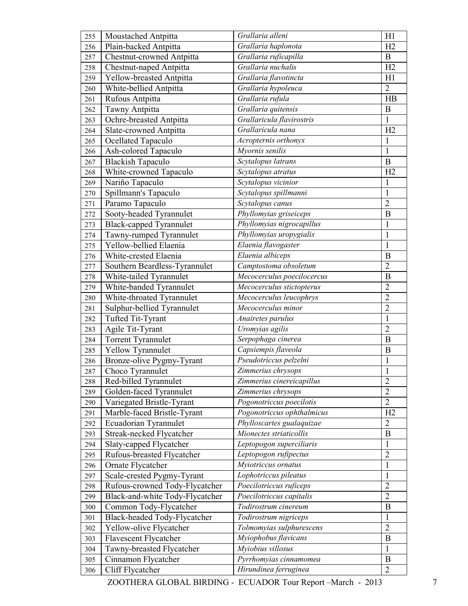| 255 | Moustached Antpitta             | Grallaria alleni                      | H1               |
|-----|---------------------------------|---------------------------------------|------------------|
| 256 | Plain-backed Antpitta           | Grallaria haplonota                   | H2               |
| 257 | Chestnut-crowned Antpitta       | Grallaria ruficapilla                 | $\mathbf B$      |
| 258 | Chestnut-naped Antpitta         | Grallaria nuchalis                    | H2               |
| 259 | Yellow-breasted Antpitta        | Grallaria flavotincta                 | H1               |
| 260 | White-bellied Antpitta          | Grallaria hypoleuca                   | $\overline{2}$   |
| 261 | Rufous Antpitta                 | Grallaria rufula                      | HB               |
| 262 | Tawny Antpitta                  | Grallaria quitensis                   | B                |
| 263 | Ochre-breasted Antpitta         | Grallaricula flavirostris             | $\mathbf{1}$     |
| 264 | Slate-crowned Antpitta          | Grallaricula nana                     | H2               |
| 265 | Ocellated Tapaculo              | Acropternis orthonyx                  | $\mathbf{1}$     |
| 266 | Ash-colored Tapaculo            | Myornis senilis                       | $\mathbf{1}$     |
| 267 | <b>Blackish Tapaculo</b>        | Scytalopus latrans                    | $\mathbf B$      |
| 268 | White-crowned Tapaculo          | Scytalopus atratus                    | H2               |
| 269 | Nariño Tapaculo                 | Scytalopus vicinior                   | 1                |
| 270 | Spillmann's Tapaculo            | Scytalopus spillmanni                 | $\mathbf{1}$     |
| 271 | Paramo Tapaculo                 | Scytalopus canus                      | $\overline{2}$   |
| 272 | Sooty-headed Tyrannulet         | Phyllomyias griseiceps                | $\boldsymbol{B}$ |
| 273 | <b>Black-capped Tyrannulet</b>  | Phyllomyias nigrocapillus             | $\mathbf{1}$     |
| 274 | Tawny-rumped Tyrannulet         | Phyllomyias uropygialis               | $\mathbf{1}$     |
| 275 | Yellow-bellied Elaenia          | Elaenia flavogaster                   | $\mathbf{1}$     |
| 276 | White-crested Elaenia           | Elaenia albiceps                      | B                |
| 277 | Southern Beardless-Tyrannulet   | Camptostoma obsoletum                 | $\overline{2}$   |
| 278 | White-tailed Tyrannulet         | Mecocerculus poecilocercus            | $\mathbf B$      |
| 279 | White-banded Tyrannulet         | Mecocerculus stictopterus             | $\overline{c}$   |
| 280 | White-throated Tyrannulet       | Mecocerculus leucophrys               | $\overline{2}$   |
| 281 | Sulphur-bellied Tyrannulet      | Mecocerculus minor                    | $\overline{2}$   |
| 282 | Tufted Tit-Tyrant               | Anairetes parulus                     | $\mathbf{1}$     |
| 283 | Agile Tit-Tyrant                | Uromyias agilis                       | $\overline{2}$   |
| 284 | Torrent Tyrannulet              | Serpophaga cinerea                    | $\mathbf B$      |
| 285 | Yellow Tyrannulet               | Capsiempis flaveola                   | B                |
| 286 | Bronze-olive Pygmy-Tyrant       | Pseudotriccus pelzelni                | $\mathbf{1}$     |
| 287 | Choco Tyrannulet                | Zimmerius chrysops                    | $\mathbf{1}$     |
| 288 | Red-billed Tyrannulet           | Zimmerius cinereicapillus             | $\overline{2}$   |
| 289 | Golden-faced Tyrannulet         | Zimmerius chrysops                    | $\overline{2}$   |
| 290 | Variegated Bristle-Tyrant       | Pogonotriccus poecilotis              | $\overline{2}$   |
| 291 | Marble-faced Bristle-Tyrant     | Pogonotriccus ophthalmicus            | H2               |
| 292 | Ecuadorian Tyrannulet           | Phylloscartes gualaquizae             | $\overline{2}$   |
| 293 | Streak-necked Flycatcher        | $\overline{M}$ ionectes striaticollis | B                |
| 294 | Slaty-capped Flycatcher         | Leptopogon superciliaris              | 1                |
| 295 | Rufous-breasted Flycatcher      | Leptopogon rufipectus                 | $\overline{2}$   |
| 296 | Ornate Flycatcher               | Myiotriccus ornatus                   | $\mathbf{1}$     |
| 297 | Scale-crested Pygmy-Tyrant      | Lophotriccus pileatus                 | $\mathbf{1}$     |
| 298 | Rufous-crowned Tody-Flycatcher  | Poecilotriccus ruficeps               | $\overline{2}$   |
| 299 | Black-and-white Tody-Flycatcher | Poecilotriccus capitalis              | $\overline{2}$   |
| 300 | Common Tody-Flycatcher          | Todirostrum cinereum                  | B                |
| 301 | Black-headed Tody-Flycatcher    | Todirostrum nigriceps                 | $\mathbf{1}$     |
| 302 | Yellow-olive Flycatcher         | Tolmomyias sulphurescens              | $\overline{2}$   |
| 303 | Flavescent Flycatcher           | Myiophobus flavicans                  | $\mathbf B$      |
| 304 | Tawny-breasted Flycatcher       | Myiobius villosus                     | $\mathbf{1}$     |
| 305 | Cinnamon Flycatcher             | Pyrrhomyias cinnamomea                | B                |
| 306 | Cliff Flycatcher                | Hirundinea ferruginea                 | $\overline{2}$   |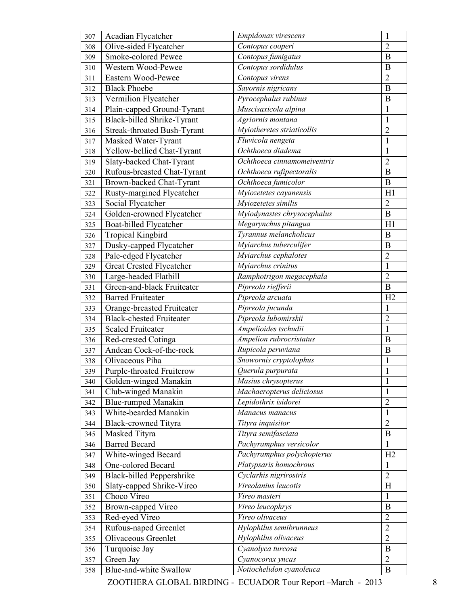| 307 | Acadian Flycatcher               | Empidonax virescens                | $\mathbf{1}$   |
|-----|----------------------------------|------------------------------------|----------------|
| 308 | Olive-sided Flycatcher           | Contopus cooperi                   | $\overline{2}$ |
| 309 | Smoke-colored Pewee              | Contopus fumigatus                 | B              |
| 310 | Western Wood-Pewee               | Contopus sordidulus                | B              |
| 311 | Eastern Wood-Pewee               | Contopus virens                    | $\overline{2}$ |
| 312 | <b>Black Phoebe</b>              | Sayornis nigricans                 | $\bf{B}$       |
| 313 | Vermilion Flycatcher             | Pyrocephalus rubinus               | B              |
| 314 | Plain-capped Ground-Tyrant       | Muscisaxicola alpina               | $\mathbf{1}$   |
| 315 | Black-billed Shrike-Tyrant       | Agriornis montana                  | $\mathbf{1}$   |
| 316 | Streak-throated Bush-Tyrant      | Myiotheretes striaticollis         | $\overline{2}$ |
| 317 | Masked Water-Tyrant              | Fluvicola nengeta                  | $\mathbf{1}$   |
| 318 | Yellow-bellied Chat-Tyrant       | Ochthoeca diadema                  | $\mathbf{1}$   |
| 319 | Slaty-backed Chat-Tyrant         | Ochthoeca cinnamomeiventris        | $\overline{2}$ |
| 320 | Rufous-breasted Chat-Tyrant      | Ochthoeca rufipectoralis           | B              |
| 321 | Brown-backed Chat-Tyrant         | Ochthoeca fumicolor                | $\bf{B}$       |
| 322 | Rusty-margined Flycatcher        | Myiozetetes cayanensis             | H1             |
| 323 | Social Flycatcher                | Myiozetetes similis                | $\overline{2}$ |
| 324 | Golden-crowned Flycatcher        | Myiodynastes chrysocephalus        | $\bf{B}$       |
| 325 | Boat-billed Flycatcher           | Megarynchus pitangua               | H1             |
| 326 | Tropical Kingbird                | Tyrannus melancholicus             | $\bf{B}$       |
| 327 | Dusky-capped Flycatcher          | Myiarchus tuberculifer             | B              |
| 328 | Pale-edged Flycatcher            | $\overline{My}$ iarchus cephalotes | $\overline{c}$ |
| 329 | Great Crested Flycatcher         | Myiarchus crinitus                 | $\mathbf{1}$   |
| 330 | Large-headed Flatbill            | Ramphotrigon megacephala           | $\overline{2}$ |
| 331 | Green-and-black Fruiteater       | Pipreola riefferii                 | B              |
| 332 | <b>Barred Fruiteater</b>         | Pipreola arcuata                   | H <sub>2</sub> |
| 333 | Orange-breasted Fruiteater       | Pipreola jucunda                   | $\mathbf{1}$   |
| 334 | <b>Black-chested Fruiteater</b>  | Pipreola lubomirskii               | $\overline{2}$ |
| 335 | <b>Scaled Fruiteater</b>         | Ampelioides tschudii               | $\mathbf{1}$   |
| 336 | Red-crested Cotinga              | Ampelion rubrocristatus            | B              |
| 337 | Andean Cock-of-the-rock          | Rupicola peruviana                 | B              |
| 338 | Olivaceous Piha                  | Snowornis cryptolophus             | $\mathbf{1}$   |
| 339 | Purple-throated Fruitcrow        | Querula purpurata                  | 1              |
| 340 | Golden-winged Manakin            | Masius chrysopterus                | $\mathbf{1}$   |
| 341 | Club-winged Manakin              | Machaeropterus deliciosus          | $\mathbf{1}$   |
| 342 | <b>Blue-rumped Manakin</b>       | Lepidothrix isidorei               | $\overline{2}$ |
| 343 | White-bearded Manakin            | Manacus manacus                    | $\mathbf{1}$   |
| 344 | <b>Black-crowned Tityra</b>      | Tityra inquisitor                  | $\overline{2}$ |
| 345 | Masked Tityra                    | Tityra semifasciata                | $\bf{B}$       |
| 346 | <b>Barred Becard</b>             | Pachyramphus versicolor            | 1              |
| 347 | White-winged Becard              | Pachyramphus polychopterus         | H2             |
| 348 | One-colored Becard               | Platypsaris homochrous             | 1              |
| 349 | <b>Black-billed Peppershrike</b> | Cyclarhis nigrirostris             | $\overline{2}$ |
| 350 | Slaty-capped Shrike-Vireo        | Vireolanius leucotis               | H              |
| 351 | Choco Vireo                      | Vireo masteri                      | $\mathbf{1}$   |
| 352 | Brown-capped Vireo               | Vireo leucophrys                   | B              |
| 353 | Red-eyed Vireo                   | Vireo olivaceus                    | $\overline{2}$ |
| 354 | Rufous-naped Greenlet            | Hylophilus semibrunneus            | $\overline{2}$ |
| 355 | Olivaceous Greenlet              | Hylophilus olivaceus               | $\overline{2}$ |
| 356 | Turquoise Jay                    | Cyanolyca turcosa                  | $\bf{B}$       |
| 357 | Green Jay                        | Cyanocorax yncas                   | $\overline{2}$ |
| 358 | Blue-and-white Swallow           | Notiochelidon cyanoleuca           | $\bf{B}$       |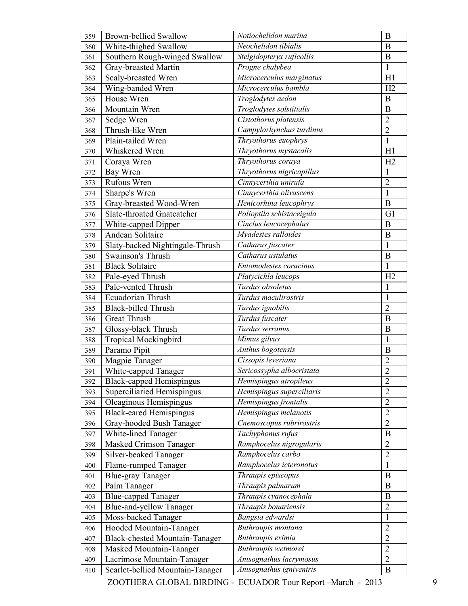| 359 | <b>Brown-bellied Swallow</b>          | Notiochelidon murina      | $\bf{B}$         |
|-----|---------------------------------------|---------------------------|------------------|
| 360 | White-thighed Swallow                 | Neochelidon tibialis      | B                |
| 361 | Southern Rough-winged Swallow         | Stelgidopteryx ruficollis | B                |
| 362 | Gray-breasted Martin                  | Progne chalybea           | $\mathbf{1}$     |
| 363 | Scaly-breasted Wren                   | Microcerculus marginatus  | H1               |
| 364 | Wing-banded Wren                      | Microcerculus bambla      | H2               |
| 365 | House Wren                            | Troglodytes aedon         | $\bf{B}$         |
| 366 | Mountain Wren                         | Troglodytes solstitialis  | B                |
| 367 | Sedge Wren                            | Cistothorus platensis     | $\overline{2}$   |
| 368 | Thrush-like Wren                      | Campylorhynchus turdinus  | $\overline{2}$   |
| 369 | Plain-tailed Wren                     | Thryothorus euophrys      | $\mathbf{1}$     |
| 370 | Whiskered Wren                        | Thryothorus mystacalis    | H1               |
| 371 | Coraya Wren                           | Thryothorus coraya        | H2               |
| 372 | Bay Wren                              | Thryothorus nigricapillus | 1                |
| 373 | Rufous Wren                           | Cinnycerthia unirufa      | $\overline{2}$   |
| 374 | Sharpe's Wren                         | Cinnycerthia olivascens   | $\mathbf{1}$     |
| 375 | Gray-breasted Wood-Wren               | Henicorhina leucophrys    | $\bf{B}$         |
| 376 | Slate-throated Gnatcatcher            | Polioptila schistaceigula | G1               |
| 377 | White-capped Dipper                   | Cinclus leucocephalus     | B                |
| 378 | Andean Solitaire                      | Myadestes ralloides       | B                |
| 379 | Slaty-backed Nightingale-Thrush       | Catharus fuscater         | $\mathbf{1}$     |
| 380 | Swainson's Thrush                     | Catharus ustulatus        | B                |
| 381 | <b>Black Solitaire</b>                | Entomodestes coracinus    | 1                |
| 382 | Pale-eyed Thrush                      | Platycichla leucops       | H2               |
| 383 | Pale-vented Thrush                    | Turdus obsoletus          | 1                |
| 384 | Ecuadorian Thrush                     | Turdus maculirostris      | $\mathbf{1}$     |
| 385 | <b>Black-billed Thrush</b>            | Turdus ignobilis          | $\overline{2}$   |
| 386 | Great Thrush                          | Turdus fuscater           | B                |
| 387 | Glossy-black Thrush                   | Turdus serranus           | $\boldsymbol{B}$ |
| 388 | <b>Tropical Mockingbird</b>           | Mimus gilvus              | 1                |
| 389 | Paramo Pipit                          | Anthus bogotensis         | $\bf{B}$         |
| 390 | Magpie Tanager                        | Cissopis leveriana        | $\overline{2}$   |
| 391 | White-capped Tanager                  | Sericossypha albocristata | $\overline{c}$   |
| 392 | <b>Black-capped Hemispingus</b>       | Hemispingus atropileus    | $\overline{2}$   |
| 393 | Superciliaried Hemispingus            | Hemispingus superciliaris | $\overline{2}$   |
| 394 | Oleaginous Hemispingus                | Hemispingus frontalis     | $\overline{2}$   |
| 395 | <b>Black-eared Hemispingus</b>        | Hemispingus melanotis     | $\overline{2}$   |
| 396 | Gray-hooded Bush Tanager              | Cnemoscopus rubrirostris  | $\overline{2}$   |
| 397 | White-lined Tanager                   | Tachyphonus rufus         | $\bf{B}$         |
| 398 | Masked Crimson Tanager                | Ramphocelus nigrogularis  | $\overline{2}$   |
| 399 | Silver-beaked Tanager                 | Ramphocelus carbo         | $\overline{2}$   |
| 400 | Flame-rumped Tanager                  | Ramphocelus icteronotus   | $\mathbf{1}$     |
| 401 | <b>Blue-gray Tanager</b>              | Thraupis episcopus        | B                |
| 402 | Palm Tanager                          | Thraupis palmarum         | $\bf{B}$         |
| 403 | <b>Blue-capped Tanager</b>            | Thraupis cyanocephala     | $\bf{B}$         |
| 404 | Blue-and-yellow Tanager               | Thraupis bonariensis      | $\overline{2}$   |
| 405 | Moss-backed Tanager                   | Bangsia edwardsi          | $\mathbf{1}$     |
| 406 | Hooded Mountain-Tanager               | Buthraupis montana        | $\overline{2}$   |
| 407 | <b>Black-chested Mountain-Tanager</b> | Buthraupis eximia         | $\overline{2}$   |
| 408 | Masked Mountain-Tanager               | Buthraupis wetmorei       | $\overline{2}$   |
| 409 | Lacrimose Mountain-Tanager            | Anisognathus lacrymosus   | $\overline{2}$   |
| 410 | Scarlet-bellied Mountain-Tanager      | Anisognathus igniventris  | $\mathbf B$      |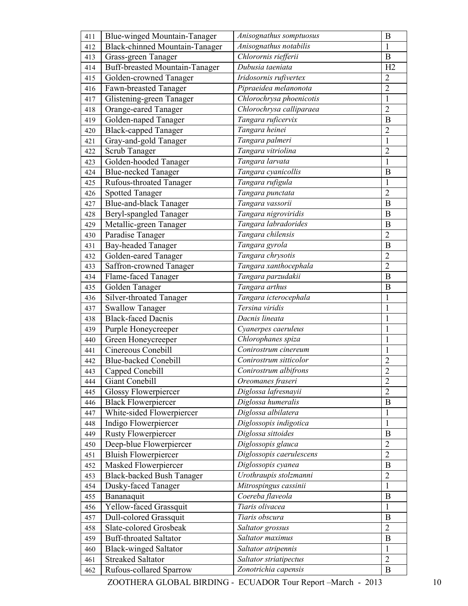| 411 | Blue-winged Mountain-Tanager          | Anisognathus somptuosus  | $\bf{B}$         |
|-----|---------------------------------------|--------------------------|------------------|
| 412 | <b>Black-chinned Mountain-Tanager</b> | Anisognathus notabilis   | 1                |
| 413 | Grass-green Tanager                   | Chlorornis riefferii     | $\mathbf B$      |
| 414 | Buff-breasted Mountain-Tanager        | Dubusia taeniata         | H2               |
| 415 | Golden-crowned Tanager                | Iridosornis rufivertex   | $\overline{2}$   |
| 416 | Fawn-breasted Tanager                 | Pipraeidea melanonota    | $\overline{2}$   |
| 417 | Glistening-green Tanager              | Chlorochrysa phoenicotis | $\mathbf{1}$     |
| 418 | Orange-eared Tanager                  | Chlorochrysa calliparaea | $\overline{2}$   |
| 419 | Golden-naped Tanager                  | Tangara ruficervix       | $\bf{B}$         |
| 420 | <b>Black-capped Tanager</b>           | Tangara heinei           | $\overline{2}$   |
| 421 | Gray-and-gold Tanager                 | Tangara palmeri          | $\mathbf{1}$     |
| 422 | Scrub Tanager                         | Tangara vitriolina       | $\overline{2}$   |
| 423 | Golden-hooded Tanager                 | Tangara larvata          | $\mathbf{1}$     |
| 424 | <b>Blue-necked Tanager</b>            | Tangara cyanicollis      | B                |
| 425 | Rufous-throated Tanager               | Tangara rufigula         | 1                |
| 426 | <b>Spotted Tanager</b>                | Tangara punctata         | $\overline{2}$   |
| 427 | <b>Blue-and-black Tanager</b>         | Tangara vassorii         | $\bf{B}$         |
| 428 | Beryl-spangled Tanager                | Tangara nigroviridis     | $\boldsymbol{B}$ |
| 429 | Metallic-green Tanager                | Tangara labradorides     | B                |
| 430 | Paradise Tanager                      | Tangara chilensis        | $\overline{2}$   |
| 431 | <b>Bay-headed Tanager</b>             | Tangara gyrola           | B                |
| 432 | Golden-eared Tanager                  | Tangara chrysotis        | $\overline{2}$   |
| 433 | Saffron-crowned Tanager               | Tangara xanthocephala    | $\overline{2}$   |
| 434 | Flame-faced Tanager                   | Tangara parzudakii       | $\bf{B}$         |
| 435 | Golden Tanager                        | Tangara arthus           | B                |
| 436 | <b>Silver-throated Tanager</b>        | Tangara icterocephala    | $\mathbf{1}$     |
| 437 | <b>Swallow Tanager</b>                | Tersina viridis          | $\mathbf{1}$     |
| 438 | <b>Black-faced Dacnis</b>             | Dacnis lineata           | $\mathbf{1}$     |
| 439 | Purple Honeycreeper                   | Cyanerpes caeruleus      | $\mathbf{1}$     |
| 440 | Green Honeycreeper                    | Chlorophanes spiza       | $\mathbf{1}$     |
| 441 | Cinereous Conebill                    | Conirostrum cinereum     | $\mathbf{1}$     |
| 442 | Blue-backed Conebill                  | Conirostrum sitticolor   | $\overline{2}$   |
| 443 | Capped Conebill                       | Conirostrum albifrons    | $\overline{c}$   |
| 444 | Giant Conebill                        | Oreomanes fraseri        | $\overline{2}$   |
| 445 | <b>Glossy Flowerpiercer</b>           | Diglossa lafresnayii     | $\overline{2}$   |
| 446 | <b>Black Flowerpiercer</b>            | Diglossa humeralis       | $\bf{B}$         |
| 447 | White-sided Flowerpiercer             | Diglossa albilatera      | $\mathbf{1}$     |
| 448 | Indigo Flowerpiercer                  | Diglossopis indigotica   | $\mathbf{1}$     |
| 449 | <b>Rusty Flowerpiercer</b>            | Diglossa sittoides       | $\bf{B}$         |
| 450 | Deep-blue Flowerpiercer               | Diglossopis glauca       | $\overline{2}$   |
| 451 | <b>Bluish Flowerpiercer</b>           | Diglossopis caerulescens | $\overline{2}$   |
| 452 | Masked Flowerpiercer                  | Diglossopis cyanea       | $\bf{B}$         |
| 453 | <b>Black-backed Bush Tanager</b>      | Urothraupis stolzmanni   | $\overline{2}$   |
| 454 | Dusky-faced Tanager                   | Mitrospingus cassinii    | $\mathbf{1}$     |
| 455 | Bananaquit                            | Coereba flaveola         | $\bf{B}$         |
| 456 | Yellow-faced Grassquit                | Tiaris olivacea          | $\mathbf{1}$     |
| 457 | Dull-colored Grassquit                | Tiaris obscura           | $\boldsymbol{B}$ |
| 458 | Slate-colored Grosbeak                | Saltator grossus         | $\overline{2}$   |
| 459 | <b>Buff-throated Saltator</b>         | Saltator maximus         | $\bf{B}$         |
| 460 | <b>Black-winged Saltator</b>          | Saltator atripennis      | $\mathbf{1}$     |
| 461 | <b>Streaked Saltator</b>              | Saltator striatipectus   | $\overline{2}$   |
| 462 | Rufous-collared Sparrow               | Zonotrichia capensis     | $\mathbf B$      |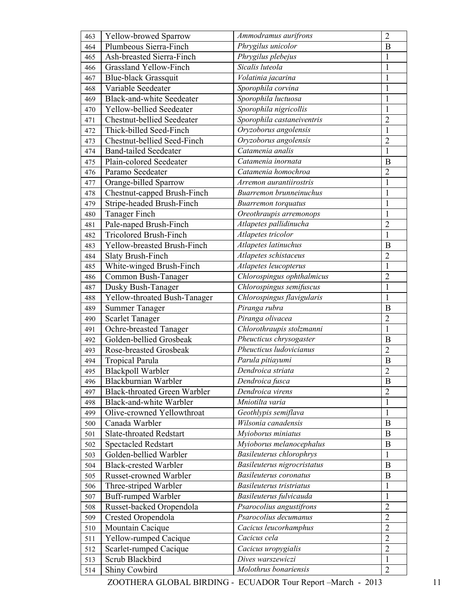| 463 | Yellow-browed Sparrow               | Ammodramus aurifrons            | $\overline{2}$   |
|-----|-------------------------------------|---------------------------------|------------------|
| 464 | Plumbeous Sierra-Finch              | Phrygilus unicolor              | B                |
| 465 | Ash-breasted Sierra-Finch           | Phrygilus plebejus              | $\mathbf{1}$     |
| 466 | <b>Grassland Yellow-Finch</b>       | Sicalis luteola                 | $\mathbf{1}$     |
| 467 | <b>Blue-black Grassquit</b>         | Volatinia jacarina              | $\mathbf{1}$     |
| 468 | Variable Seedeater                  | Sporophila corvina              | $\mathbf{1}$     |
| 469 | <b>Black-and-white Seedeater</b>    | Sporophila luctuosa             | $\mathbf{1}$     |
| 470 | Yellow-bellied Seedeater            | Sporophila nigricollis          | $\mathbf{1}$     |
| 471 | <b>Chestnut-bellied Seedeater</b>   | Sporophila castaneiventris      | $\overline{2}$   |
| 472 | Thick-billed Seed-Finch             | Oryzoborus angolensis           | $\mathbf{1}$     |
| 473 | Chestnut-bellied Seed-Finch         | Oryzoborus angolensis           | $\overline{2}$   |
| 474 | <b>Band-tailed Seedeater</b>        | Catamenia analis                | $\mathbf{1}$     |
| 475 | Plain-colored Seedeater             | Catamenia inornata              | B                |
| 476 | Paramo Seedeater                    | Catamenia homochroa             | $\overline{2}$   |
| 477 | Orange-billed Sparrow               | Arremon aurantiirostris         | $\mathbf{1}$     |
| 478 | Chestnut-capped Brush-Finch         | Buarremon brunneinuchus         | $\mathbf{1}$     |
| 479 | Stripe-headed Brush-Finch           | <b>Buarremon</b> torquatus      | $\mathbf{1}$     |
| 480 | <b>Tanager Finch</b>                | Oreothraupis arremonops         | $\mathbf{1}$     |
| 481 | Pale-naped Brush-Finch              | Atlapetes pallidinucha          | $\overline{2}$   |
| 482 | <b>Tricolored Brush-Finch</b>       | Atlapetes tricolor              | $\mathbf{1}$     |
| 483 | Yellow-breasted Brush-Finch         | Atlapetes latinuchus            | B                |
| 484 | <b>Slaty Brush-Finch</b>            | Atlapetes schistaceus           | $\overline{2}$   |
| 485 | White-winged Brush-Finch            | Atlapetes leucopterus           | $\mathbf{1}$     |
| 486 | Common Bush-Tanager                 | Chlorospingus ophthalmicus      | $\overline{2}$   |
| 487 | Dusky Bush-Tanager                  | Chlorospingus semifuscus        | $\mathbf{1}$     |
| 488 | Yellow-throated Bush-Tanager        | Chlorospingus flavigularis      | $\mathbf{1}$     |
| 489 | <b>Summer Tanager</b>               | Piranga rubra                   | B                |
| 490 | <b>Scarlet Tanager</b>              | Piranga olivacea                | $\overline{2}$   |
| 491 | Ochre-breasted Tanager              | Chlorothraupis stolzmanni       | $\mathbf{1}$     |
| 492 | Golden-bellied Grosbeak             | Pheucticus chrysogaster         | B                |
| 493 | Rose-breasted Grosbeak              | Pheucticus ludovicianus         | $\overline{2}$   |
| 494 | <b>Tropical Parula</b>              | Parula pitiayumi                | B                |
| 495 | <b>Blackpoll Warbler</b>            | Dendroica striata               | $\overline{2}$   |
| 496 | Blackburnian Warbler                | Dendroica fusca                 | B                |
| 497 | <b>Black-throated Green Warbler</b> | Dendroica virens                | $\overline{2}$   |
| 498 | Black-and-white Warbler             | Mniotilta varia                 | $\mathbf{1}$     |
| 499 | Olive-crowned Yellowthroat          | Geothlypis semiflava            | $\mathbf{1}$     |
| 500 | Canada Warbler                      | Wilsonia canadensis             | $\bf{B}$         |
| 501 | Slate-throated Redstart             | Myioborus miniatus              | $\bf{B}$         |
| 502 | <b>Spectacled Redstart</b>          | Myioborus melanocephalus        | $\boldsymbol{B}$ |
| 503 | Golden-bellied Warbler              | <b>Basileuterus chlorophrys</b> | $\mathbf{1}$     |
| 504 | <b>Black-crested Warbler</b>        | Basileuterus nigrocristatus     | $\bf{B}$         |
| 505 | Russet-crowned Warbler              | <b>Basileuterus</b> coronatus   | B                |
| 506 | Three-striped Warbler               | Basileuterus tristriatus        | $\mathbf{1}$     |
| 507 | Buff-rumped Warbler                 | Basileuterus fulvicauda         | $\mathbf{1}$     |
| 508 | Russet-backed Oropendola            | Psarocolius angustifrons        | $\overline{2}$   |
| 509 | Crested Oropendola                  | Psarocolius decumanus           | $\overline{2}$   |
| 510 | Mountain Cacique                    | Cacicus leucorhamphus           | $\overline{2}$   |
| 511 | Yellow-rumped Cacique               | Cacicus cela                    | $\overline{2}$   |
| 512 | Scarlet-rumped Cacique              | Cacicus uropygialis             | $\overline{2}$   |
| 513 | Scrub Blackbird                     | Dives warszewiczi               | $\mathbf{1}$     |
| 514 | Shiny Cowbird                       | Molothrus bonariensis           | $\overline{2}$   |